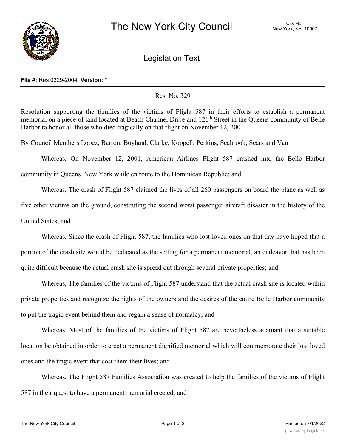

Legislation Text

## **File #:** Res 0329-2004, **Version:** \*

## Res. No. 329

Resolution supporting the families of the victims of Flight 587 in their efforts to establish a permanent memorial on a piece of land located at Beach Channel Drive and 126<sup>th</sup> Street in the Queens community of Belle Harbor to honor all those who died tragically on that flight on November 12, 2001.

By Council Members Lopez, Barron, Boyland, Clarke, Koppell, Perkins, Seabrook, Sears and Vann

Whereas, On November 12, 2001, American Airlines Flight 587 crashed into the Belle Harbor community in Queens, New York while en route to the Dominican Republic; and

Whereas, The crash of Flight 587 claimed the lives of all 260 passengers on board the plane as well as five other victims on the ground, constituting the second worst passenger aircraft disaster in the history of the United States; and

Whereas, Since the crash of Flight 587, the families who lost loved ones on that day have hoped that a portion of the crash site would be dedicated as the setting for a permanent memorial, an endeavor that has been quite difficult because the actual crash site is spread out through several private properties; and

Whereas, The families of the victims of Flight 587 understand that the actual crash site is located within private properties and recognize the rights of the owners and the desires of the entire Belle Harbor community to put the tragic event behind them and regain a sense of normalcy; and

Whereas, Most of the families of the victims of Flight 587 are nevertheless adamant that a suitable location be obtained in order to erect a permanent dignified memorial which will commemorate their lost loved ones and the tragic event that cost them their lives; and

Whereas, The Flight 587 Families Association was created to help the families of the victims of Flight 587 in their quest to have a permanent memorial erected; and